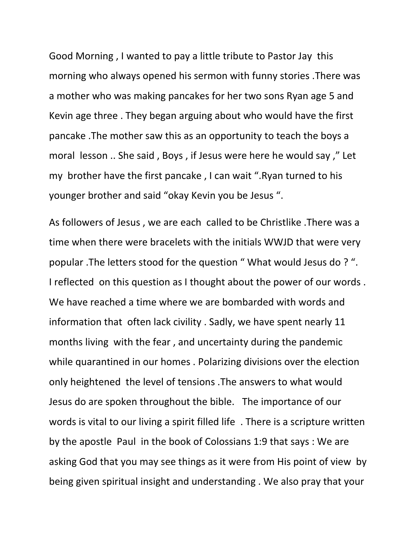Good Morning , I wanted to pay a little tribute to Pastor Jay this morning who always opened his sermon with funny stories .There was a mother who was making pancakes for her two sons Ryan age 5 and Kevin age three . They began arguing about who would have the first pancake .The mother saw this as an opportunity to teach the boys a moral lesson .. She said , Boys , if Jesus were here he would say ," Let my brother have the first pancake , I can wait ".Ryan turned to his younger brother and said "okay Kevin you be Jesus ".

As followers of Jesus , we are each called to be Christlike .There was a time when there were bracelets with the initials WWJD that were very popular .The letters stood for the question " What would Jesus do ? ". I reflected on this question as I thought about the power of our words . We have reached a time where we are bombarded with words and information that often lack civility . Sadly, we have spent nearly 11 months living with the fear , and uncertainty during the pandemic while quarantined in our homes . Polarizing divisions over the election only heightened the level of tensions .The answers to what would Jesus do are spoken throughout the bible. The importance of our words is vital to our living a spirit filled life . There is a scripture written by the apostle Paul in the book of Colossians 1:9 that says : We are asking God that you may see things as it were from His point of view by being given spiritual insight and understanding . We also pray that your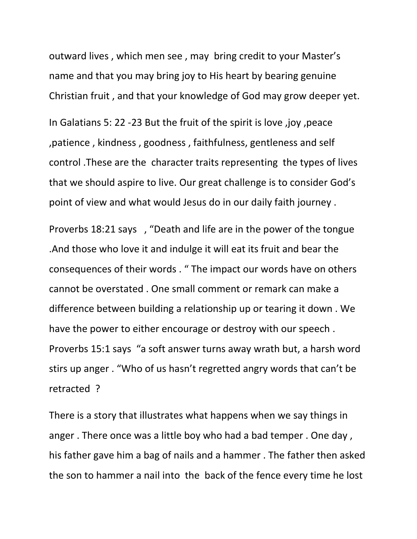outward lives , which men see , may bring credit to your Master's name and that you may bring joy to His heart by bearing genuine Christian fruit , and that your knowledge of God may grow deeper yet.

In Galatians 5: 22 -23 But the fruit of the spirit is love ,joy ,peace ,patience , kindness , goodness , faithfulness, gentleness and self control .These are the character traits representing the types of lives that we should aspire to live. Our great challenge is to consider God's point of view and what would Jesus do in our daily faith journey .

Proverbs 18:21 says , "Death and life are in the power of the tongue .And those who love it and indulge it will eat its fruit and bear the consequences of their words . " The impact our words have on others cannot be overstated . One small comment or remark can make a difference between building a relationship up or tearing it down . We have the power to either encourage or destroy with our speech . Proverbs 15:1 says "a soft answer turns away wrath but, a harsh word stirs up anger . "Who of us hasn't regretted angry words that can't be retracted ?

There is a story that illustrates what happens when we say things in anger . There once was a little boy who had a bad temper . One day , his father gave him a bag of nails and a hammer . The father then asked the son to hammer a nail into the back of the fence every time he lost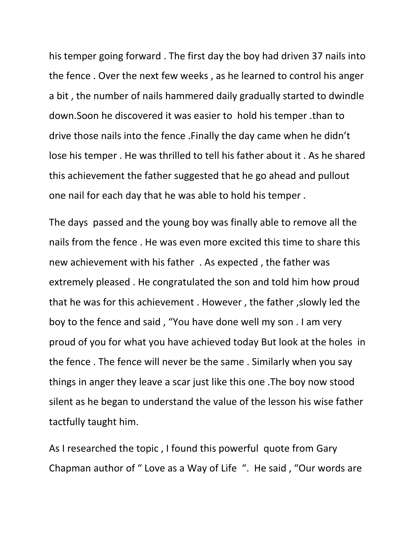his temper going forward . The first day the boy had driven 37 nails into the fence . Over the next few weeks , as he learned to control his anger a bit , the number of nails hammered daily gradually started to dwindle down.Soon he discovered it was easier to hold his temper .than to drive those nails into the fence .Finally the day came when he didn't lose his temper . He was thrilled to tell his father about it . As he shared this achievement the father suggested that he go ahead and pullout one nail for each day that he was able to hold his temper .

The days passed and the young boy was finally able to remove all the nails from the fence . He was even more excited this time to share this new achievement with his father . As expected , the father was extremely pleased . He congratulated the son and told him how proud that he was for this achievement . However , the father ,slowly led the boy to the fence and said , "You have done well my son . I am very proud of you for what you have achieved today But look at the holes in the fence . The fence will never be the same . Similarly when you say things in anger they leave a scar just like this one .The boy now stood silent as he began to understand the value of the lesson his wise father tactfully taught him.

As I researched the topic , I found this powerful quote from Gary Chapman author of " Love as a Way of Life ". He said , "Our words are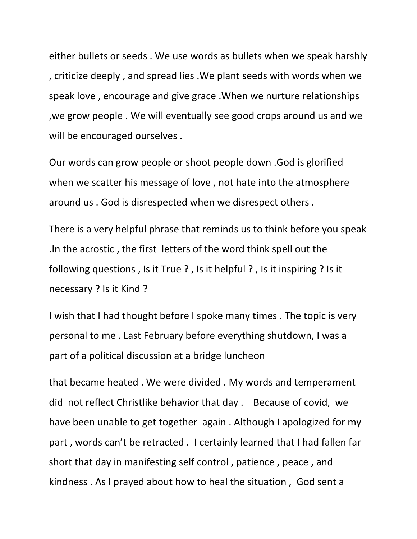either bullets or seeds . We use words as bullets when we speak harshly , criticize deeply , and spread lies .We plant seeds with words when we speak love , encourage and give grace .When we nurture relationships ,we grow people . We will eventually see good crops around us and we will be encouraged ourselves .

Our words can grow people or shoot people down .God is glorified when we scatter his message of love , not hate into the atmosphere around us . God is disrespected when we disrespect others .

There is a very helpful phrase that reminds us to think before you speak .In the acrostic , the first letters of the word think spell out the following questions , Is it True ? , Is it helpful ? , Is it inspiring ? Is it necessary ? Is it Kind ?

I wish that I had thought before I spoke many times . The topic is very personal to me . Last February before everything shutdown, I was a part of a political discussion at a bridge luncheon

that became heated . We were divided . My words and temperament did not reflect Christlike behavior that day . Because of covid, we have been unable to get together again . Although I apologized for my part , words can't be retracted . I certainly learned that I had fallen far short that day in manifesting self control , patience , peace , and kindness . As I prayed about how to heal the situation , God sent a